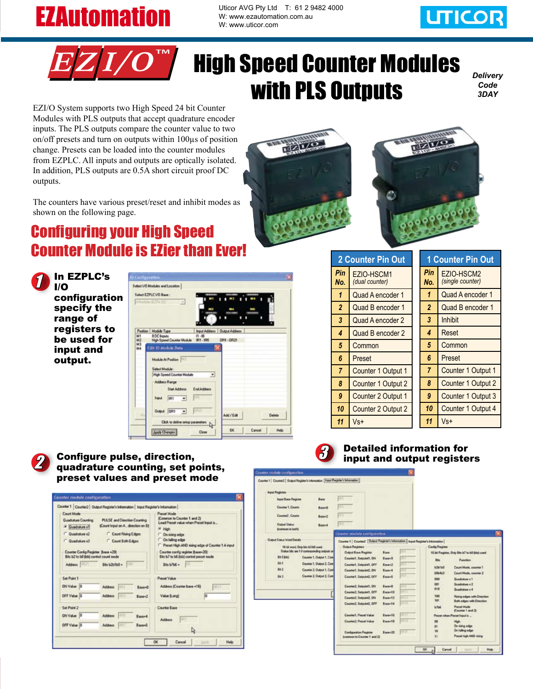## **EZAutomation**

Uticor AVG Pty Ltd T: 61 2 9482 4000 W: www.ezautomation.com.au W: www.uticor.com





# High Speed Counter Modules with PLS Outputs

*Delivery Code 3DAY*

EZI/O System supports two High Speed 24 bit Counter Modules with PLS outputs that accept quadrature encoder inputs. The PLS outputs compare the counter value to two on/off presets and turn on outputs within 100µs of position change. Presets can be loaded into the counter modules from EZPLC. All inputs and outputs are optically isolated. In addition, PLS outputs are 0.5A short circuit proof DC outputs.

The counters have various preset/reset and inhibit modes as shown on the following page.

### Configuring your High Speed Counter Module is EZier than Ever!



|                | Select UO Modules and Location<br>Select EZPLC US Bank:                     |                                |
|----------------|-----------------------------------------------------------------------------|--------------------------------|
|                | <b><i>REGIAL ETPATH</i></b><br>$\frac{1}{2}$                                |                                |
| M1             | Position   Module Type<br>8 DC friputs<br>$71 - 18$                         | Input Address   Output Address |
| M2<br>M3<br>M4 | High Speed Counter Module IRT - IRS<br>Edit 10 Module Data                  | OR1-OR21                       |
|                | <b>Module At Position</b><br>Select Module:                                 |                                |
|                | High Speed Counter Hodule<br>≖<br>Address Range                             |                                |
|                | <b>Start Address</b><br>EndAddess<br>H.<br>IR1<br><b>Imput</b><br>$\bullet$ |                                |
|                | <b>HAT</b>                                                                  |                                |
|                | Output ORT<br>$\blacksquare$<br>Club to define setup parameters A           | Add / Edit<br><b>Cieleta</b>   |

| <b>2 Counter Pin Out</b> |                              | <b>1 Counter Pin Out</b> |                |                                |  |
|--------------------------|------------------------------|--------------------------|----------------|--------------------------------|--|
| Pin<br>No.               | EZIO-HSCM1<br>(dual counter) |                          | Pin<br>No.     | EZIO-HSCM2<br>(single counter) |  |
| 1                        | Quad A encoder 1             |                          | 1              | Quad A encoder 1               |  |
| $\overline{2}$           | Quad B encoder 1             |                          | $\overline{2}$ | Quad B encoder 1               |  |
| 3                        | Quad A encoder 2             |                          | 3              | Inhibit                        |  |
| 4                        | Quad B encoder 2             |                          | 4              | Reset                          |  |
| 5                        | Common                       |                          | 5              | Common                         |  |
| 6                        | Preset                       |                          | 6              | Preset                         |  |
| $\overline{7}$           | Counter 1 Output 1           |                          | $\overline{7}$ | Counter 1 Output 1             |  |
| 8                        | Counter 1 Output 2           |                          | 8              | Counter 1 Output 2             |  |
| 9                        | Counter 2 Output 1           |                          | 9              | Counter 1 Output 3             |  |
| 10                       | Counter 2 Output 2           |                          | 10             | Counter 1 Output 4             |  |
| 11                       | Vs+                          |                          | 11             | Vs+                            |  |

#### 2 Configure pulse, direction,<br>2 quadrature counting set points quadrature counting, set points, preset values and pr

Counter 1 | Counter2 | Output Register's Information | Input Re

PULSE and Direction Counties (Count Input on A., direction on B)

C Count Rising Edges

Count Both Edges

Rapport

Base+6

**Count Mode Guybakee Counting** 

Set Pol ON Value OFF Value 10 Sat Point 2 **ON Value** 

OFF Value 0

<sup>(a)</sup> Duadature of

Quadrature (2)

Ex en de **Bit 62 to 60 Bibl 4** 



#### Detailed information for input and output registers

| reset mode                                                                                                                                                                                                                                               | insular module configuration                                                                                                                                                                                                                          |                                                                                                                                                                                                                                                                                                                                                                                                                                                          |                                                                                                                                                                                                                                                                                                                                                                              |
|----------------------------------------------------------------------------------------------------------------------------------------------------------------------------------------------------------------------------------------------------------|-------------------------------------------------------------------------------------------------------------------------------------------------------------------------------------------------------------------------------------------------------|----------------------------------------------------------------------------------------------------------------------------------------------------------------------------------------------------------------------------------------------------------------------------------------------------------------------------------------------------------------------------------------------------------------------------------------------------------|------------------------------------------------------------------------------------------------------------------------------------------------------------------------------------------------------------------------------------------------------------------------------------------------------------------------------------------------------------------------------|
|                                                                                                                                                                                                                                                          | Counter 1   Counted   Duqual Register's Interscation   Papel Register's Information                                                                                                                                                                   |                                                                                                                                                                                                                                                                                                                                                                                                                                                          |                                                                                                                                                                                                                                                                                                                                                                              |
|                                                                                                                                                                                                                                                          | <b>Input Registers</b>                                                                                                                                                                                                                                |                                                                                                                                                                                                                                                                                                                                                                                                                                                          |                                                                                                                                                                                                                                                                                                                                                                              |
|                                                                                                                                                                                                                                                          | <b>Input Base Flegater</b><br>Bank                                                                                                                                                                                                                    | <b>SILT</b>                                                                                                                                                                                                                                                                                                                                                                                                                                              |                                                                                                                                                                                                                                                                                                                                                                              |
| <b>Homation</b>                                                                                                                                                                                                                                          | Courtes 1, County<br>Base+8                                                                                                                                                                                                                           | W                                                                                                                                                                                                                                                                                                                                                                                                                                                        |                                                                                                                                                                                                                                                                                                                                                                              |
| ssai Mode<br>covenan to Counter 1 and 23                                                                                                                                                                                                                 | <b>Counted</b> County<br>Base+2                                                                                                                                                                                                                       |                                                                                                                                                                                                                                                                                                                                                                                                                                                          |                                                                                                                                                                                                                                                                                                                                                                              |
| ad Preset value when Preset Input is                                                                                                                                                                                                                     | <b>Output Shatun</b><br><b>Base4</b><br>Scottman to both)                                                                                                                                                                                             |                                                                                                                                                                                                                                                                                                                                                                                                                                                          |                                                                                                                                                                                                                                                                                                                                                                              |
| On rining edge                                                                                                                                                                                                                                           |                                                                                                                                                                                                                                                       | Counter module configuration                                                                                                                                                                                                                                                                                                                                                                                                                             |                                                                                                                                                                                                                                                                                                                                                                              |
| On falling edge                                                                                                                                                                                                                                          | Cultural Status West Details                                                                                                                                                                                                                          | Counter 1   Counted   Dulpid Register's Information   legal Register's Information                                                                                                                                                                                                                                                                                                                                                                       |                                                                                                                                                                                                                                                                                                                                                                              |
| Preset High AND sizing edge of Counter 1 A input<br>BCreast participes phone intrust<br>He b7 to b6 (leb) control preset mode<br>Bis 5766 =<br>male <sup>V</sup> toss<br>Address (Counter base +16):<br><b>DRID</b><br>Value (Long)<br><b>Arder Base</b> | 16 bit word. Only bits 50-bill used.<br>Status bits are 1 if corresponding purputs and<br><b>Bx 2 dubi</b><br>Counter 1, Output 1, Cord<br>Bit.<br>Counter 1, Cusput 2, Core<br>84.2<br>Counter 2: Output 1, Core<br>Counter 2, Output 2, Core<br>043 | Duque Pregisters<br><b>Cultural Base Register</b><br>Raid<br>Countert, Selpcint1, ON<br>Bussell.<br><b>PIT</b><br>Counter1, Selocault, IDFT<br><b>PO</b><br>Ease+2<br>Counterf, Selpcint2, ON<br>œ<br>Ease+4<br>m.<br>Countert, Salpoint), OFF<br>Equavi.<br>Courtes2, Salpidel1, ON<br>Ease-E<br>218<br>Counter2, Setpoint1, OFF<br><b>WITE</b><br>Ease+10<br>Counter2 Selocad2, ON<br>Ease+12<br>町江<br>Counted, Sylpand, OFF<br>Euse-14<br><b>STIP</b> | Config Register<br>16 bit Flugister, Only Bits 67 to 10 Bitsi used:<br><b>Tunction</b><br>tu,<br>Court Mode, counter 1<br>MMM<br>Libdill<br>Court Mode, counter 2<br><b>Duabatus +1</b><br>000<br><b>DOT</b><br>Quadrature x 2<br><b>DIE</b><br>Qualistas e 6<br>300<br>Rising edges with Direction<br>Non<br><b>Both edges with Direction</b><br><b>Prayat Made</b><br>3760 |
|                                                                                                                                                                                                                                                          |                                                                                                                                                                                                                                                       | Countert, Please Value<br>Excentil<br><b>MAY</b>                                                                                                                                                                                                                                                                                                                                                                                                         | <b>Counter 1 and 21</b><br>Pennat subset Present Sepait is                                                                                                                                                                                                                                                                                                                   |
| 197                                                                                                                                                                                                                                                      |                                                                                                                                                                                                                                                       | 10113<br>Counter2, Fraust Value<br>Equant 1                                                                                                                                                                                                                                                                                                                                                                                                              | <b>High</b><br>On rising edge<br><b>E1</b>                                                                                                                                                                                                                                                                                                                                   |
| Þ,                                                                                                                                                                                                                                                       |                                                                                                                                                                                                                                                       | <b>Configuration Playpoter</b><br>Eure-20<br><b>COLOR</b><br>toommon to Counter 1 and 21                                                                                                                                                                                                                                                                                                                                                                 | On falling edge<br><b>NG</b><br>Present high AND dairy;<br><sub>T1</sub>                                                                                                                                                                                                                                                                                                     |